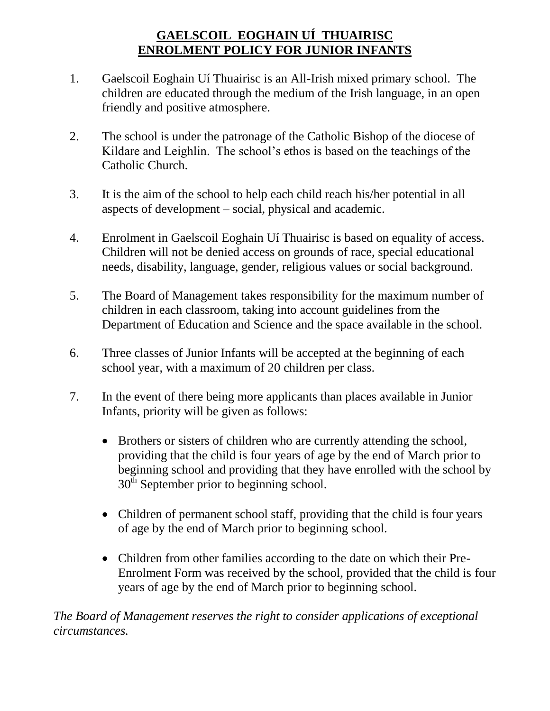## **GAELSCOIL EOGHAIN UÍ THUAIRISC ENROLMENT POLICY FOR JUNIOR INFANTS**

- 1. Gaelscoil Eoghain Uí Thuairisc is an All-Irish mixed primary school. The children are educated through the medium of the Irish language, in an open friendly and positive atmosphere.
- 2. The school is under the patronage of the Catholic Bishop of the diocese of Kildare and Leighlin. The school's ethos is based on the teachings of the Catholic Church.
- 3. It is the aim of the school to help each child reach his/her potential in all aspects of development – social, physical and academic.
- 4. Enrolment in Gaelscoil Eoghain Uí Thuairisc is based on equality of access. Children will not be denied access on grounds of race, special educational needs, disability, language, gender, religious values or social background.
- 5. The Board of Management takes responsibility for the maximum number of children in each classroom, taking into account guidelines from the Department of Education and Science and the space available in the school.
- 6. Three classes of Junior Infants will be accepted at the beginning of each school year, with a maximum of 20 children per class.
- 7. In the event of there being more applicants than places available in Junior Infants, priority will be given as follows:
	- Brothers or sisters of children who are currently attending the school, providing that the child is four years of age by the end of March prior to beginning school and providing that they have enrolled with the school by  $30<sup>th</sup>$  September prior to beginning school.
	- Children of permanent school staff, providing that the child is four years of age by the end of March prior to beginning school.
	- Children from other families according to the date on which their Pre-Enrolment Form was received by the school, provided that the child is four years of age by the end of March prior to beginning school.

*The Board of Management reserves the right to consider applications of exceptional circumstances.*